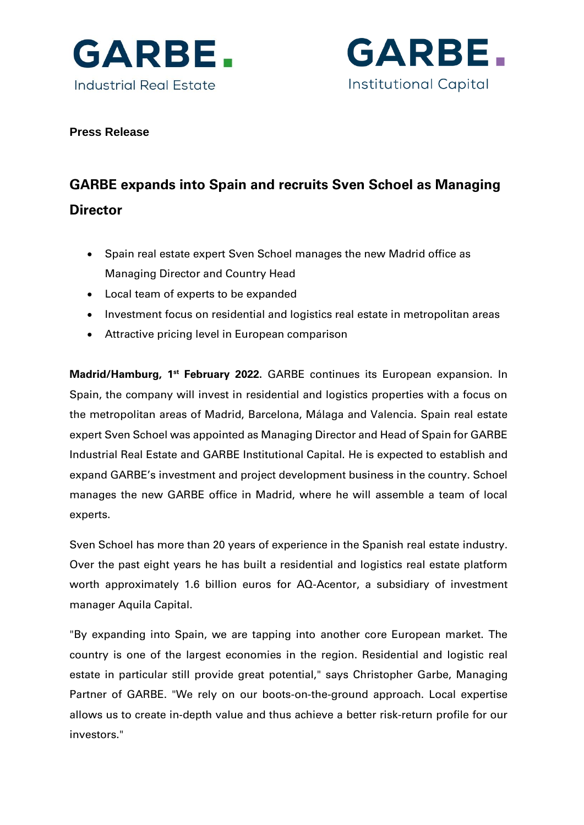



# **Press Release**

# **GARBE expands into Spain and recruits Sven Schoel as Managing Director**

- Spain real estate expert Sven Schoel manages the new Madrid office as Managing Director and Country Head
- Local team of experts to be expanded
- Investment focus on residential and logistics real estate in metropolitan areas
- Attractive pricing level in European comparison

**Madrid/Hamburg, 1<sup>st</sup> February 2022.** GARBE continues its European expansion. In Spain, the company will invest in residential and logistics properties with a focus on the metropolitan areas of Madrid, Barcelona, Málaga and Valencia. Spain real estate expert Sven Schoel was appointed as Managing Director and Head of Spain for GARBE Industrial Real Estate and GARBE Institutional Capital. He is expected to establish and expand GARBE's investment and project development business in the country. Schoel manages the new GARBE office in Madrid, where he will assemble a team of local experts.

Sven Schoel has more than 20 years of experience in the Spanish real estate industry. Over the past eight years he has built a residential and logistics real estate platform worth approximately 1.6 billion euros for AQ-Acentor, a subsidiary of investment manager Aquila Capital.

"By expanding into Spain, we are tapping into another core European market. The country is one of the largest economies in the region. Residential and logistic real estate in particular still provide great potential," says Christopher Garbe, Managing Partner of GARBE. "We rely on our boots-on-the-ground approach. Local expertise allows us to create in-depth value and thus achieve a better risk-return profile for our investors."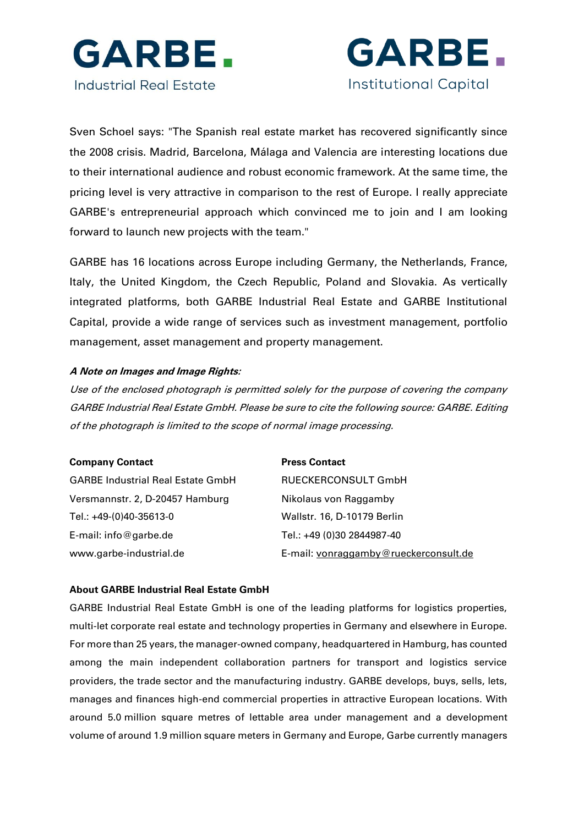



Sven Schoel says: "The Spanish real estate market has recovered significantly since the 2008 crisis. Madrid, Barcelona, Málaga and Valencia are interesting locations due to their international audience and robust economic framework. At the same time, the pricing level is very attractive in comparison to the rest of Europe. I really appreciate GARBE's entrepreneurial approach which convinced me to join and I am looking forward to launch new projects with the team."

GARBE has 16 locations across Europe including Germany, the Netherlands, France, Italy, the United Kingdom, the Czech Republic, Poland and Slovakia. As vertically integrated platforms, both GARBE Industrial Real Estate and GARBE Institutional Capital, provide a wide range of services such as investment management, portfolio management, asset management and property management.

### **A Note on Images and Image Rights:**

Use of the enclosed photograph is permitted solely for the purpose of covering the company GARBE Industrial Real Estate GmbH. Please be sure to cite the following source: GARBE. Editing of the photograph is limited to the scope of normal image processing.

| <b>Company Contact</b>                   | <b>Press Contact</b>                  |
|------------------------------------------|---------------------------------------|
| <b>GARBE Industrial Real Estate GmbH</b> | RUECKERCONSULT GmbH                   |
| Versmannstr. 2, D-20457 Hamburg          | Nikolaus von Raggamby                 |
| Tel.: +49-(0)40-35613-0                  | Wallstr. 16, D-10179 Berlin           |
| E-mail: info@garbe.de                    | Tel.: +49 (0)30 2844987-40            |
| www.garbe-industrial.de                  | E-mail: vonraggamby@rueckerconsult.de |

#### **About GARBE Industrial Real Estate GmbH**

GARBE Industrial Real Estate GmbH is one of the leading platforms for logistics properties, multi-let corporate real estate and technology properties in Germany and elsewhere in Europe. For more than 25 years, the manager-owned company, headquartered in Hamburg, has counted among the main independent collaboration partners for transport and logistics service providers, the trade sector and the manufacturing industry. GARBE develops, buys, sells, lets, manages and finances high-end commercial properties in attractive European locations. With around 5.0 million square metres of lettable area under management and a development volume of around 1.9 million square meters in Germany and Europe, Garbe currently managers